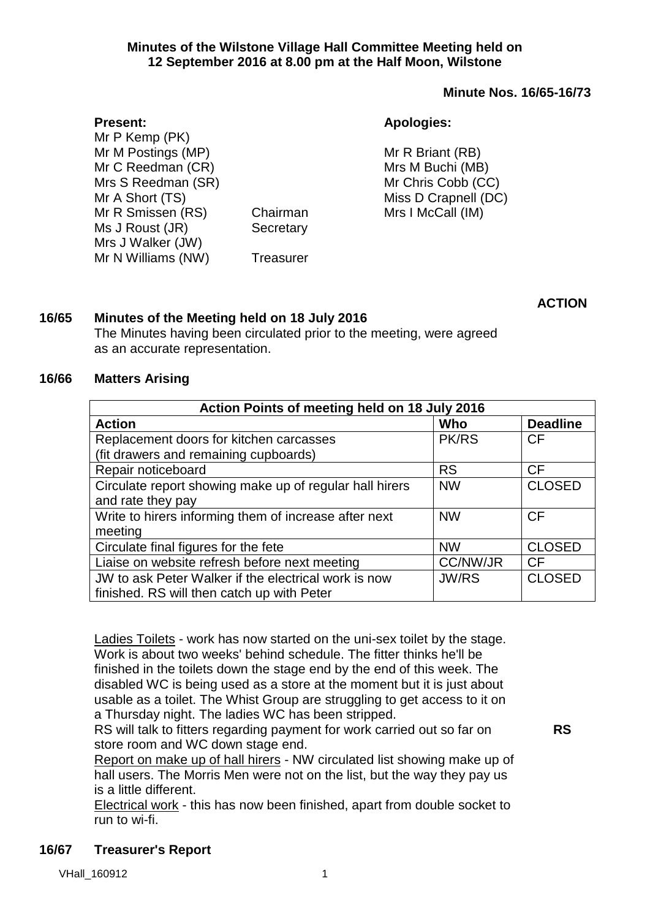#### **Minutes of the Wilstone Village Hall Committee Meeting held on 12 September 2016 at 8.00 pm at the Half Moon, Wilstone**

#### **Minute Nos. 16/65-16/73**

| <b>Apologies:</b> |
|-------------------|
|                   |

| Mr P Kemp (PK)     |           |                      |
|--------------------|-----------|----------------------|
| Mr M Postings (MP) |           | Mr R Briant (RB)     |
| Mr C Reedman (CR)  |           | Mrs M Buchi (MB)     |
| Mrs S Reedman (SR) |           | Mr Chris Cobb (CC)   |
| Mr A Short (TS)    |           | Miss D Crapnell (DC) |
| Mr R Smissen (RS)  | Chairman  | Mrs I McCall (IM)    |
| Ms J Roust (JR)    | Secretary |                      |
| Mrs J Walker (JW)  |           |                      |
| Mr N Williams (NW) | Treasurer |                      |

**ACTION**

### **16/65 Minutes of the Meeting held on 18 July 2016**

The Minutes having been circulated prior to the meeting, were agreed as an accurate representation.

#### **16/66 Matters Arising**

**Present:**

| Action Points of meeting held on 18 July 2016           |                 |                 |  |  |
|---------------------------------------------------------|-----------------|-----------------|--|--|
| <b>Action</b>                                           | Who             | <b>Deadline</b> |  |  |
| Replacement doors for kitchen carcasses                 | <b>PK/RS</b>    | <b>CF</b>       |  |  |
| (fit drawers and remaining cupboards)                   |                 |                 |  |  |
| Repair noticeboard                                      | <b>RS</b>       | <b>CF</b>       |  |  |
| Circulate report showing make up of regular hall hirers | <b>NW</b>       | <b>CLOSED</b>   |  |  |
| and rate they pay                                       |                 |                 |  |  |
| Write to hirers informing them of increase after next   | <b>NW</b>       | CF              |  |  |
| meeting                                                 |                 |                 |  |  |
| Circulate final figures for the fete                    | <b>NW</b>       | <b>CLOSED</b>   |  |  |
| Liaise on website refresh before next meeting           | <b>CC/NW/JR</b> | CF              |  |  |
| JW to ask Peter Walker if the electrical work is now    | <b>JW/RS</b>    | <b>CLOSED</b>   |  |  |
| finished. RS will then catch up with Peter              |                 |                 |  |  |

Ladies Toilets - work has now started on the uni-sex toilet by the stage. Work is about two weeks' behind schedule. The fitter thinks he'll be finished in the toilets down the stage end by the end of this week. The disabled WC is being used as a store at the moment but it is just about usable as a toilet. The Whist Group are struggling to get access to it on a Thursday night. The ladies WC has been stripped.

RS will talk to fitters regarding payment for work carried out so far on store room and WC down stage end.

Report on make up of hall hirers - NW circulated list showing make up of hall users. The Morris Men were not on the list, but the way they pay us is a little different.

Electrical work - this has now been finished, apart from double socket to run to wi-fi.

## **16/67 Treasurer's Report**

**RS**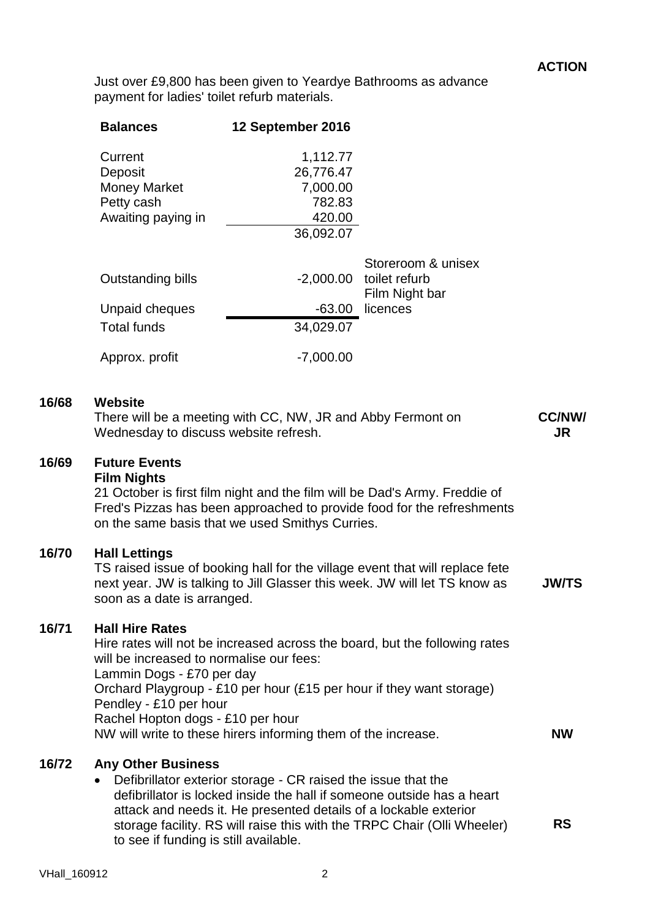Just over £9,800 has been given to Yeardye Bathrooms as advance payment for ladies' toilet refurb materials.

|       | <b>Balances</b>                                                                                                                                                | 12 September 2016                                                                                                                 |                                                                                                                                                            |                            |
|-------|----------------------------------------------------------------------------------------------------------------------------------------------------------------|-----------------------------------------------------------------------------------------------------------------------------------|------------------------------------------------------------------------------------------------------------------------------------------------------------|----------------------------|
|       | Current<br>Deposit<br><b>Money Market</b><br>Petty cash<br>Awaiting paying in                                                                                  | 1,112.77<br>26,776.47<br>7,000.00<br>782.83<br>420.00<br>36,092.07                                                                |                                                                                                                                                            |                            |
|       | Outstanding bills                                                                                                                                              | $-2,000.00$                                                                                                                       | Storeroom & unisex<br>toilet refurb<br>Film Night bar                                                                                                      |                            |
|       | Unpaid cheques<br><b>Total funds</b>                                                                                                                           | -63.00<br>34,029.07                                                                                                               | licences                                                                                                                                                   |                            |
|       | Approx. profit                                                                                                                                                 | $-7,000.00$                                                                                                                       |                                                                                                                                                            |                            |
| 16/68 | <b>Website</b><br>Wednesday to discuss website refresh.                                                                                                        | There will be a meeting with CC, NW, JR and Abby Fermont on                                                                       |                                                                                                                                                            | <b>CC/NW/</b><br><b>JR</b> |
| 16/69 | <b>Future Events</b><br><b>Film Nights</b>                                                                                                                     | on the same basis that we used Smithys Curries.                                                                                   | 21 October is first film night and the film will be Dad's Army. Freddie of<br>Fred's Pizzas has been approached to provide food for the refreshments       |                            |
| 16/70 | <b>Hall Lettings</b><br>soon as a date is arranged.                                                                                                            |                                                                                                                                   | TS raised issue of booking hall for the village event that will replace fete<br>next year. JW is talking to Jill Glasser this week. JW will let TS know as | <b>JW/TS</b>               |
| 16/71 | <b>Hall Hire Rates</b><br>will be increased to normalise our fees:<br>Lammin Dogs - £70 per day<br>Pendley - £10 per hour<br>Rachel Hopton dogs - £10 per hour | NW will write to these hirers informing them of the increase.                                                                     | Hire rates will not be increased across the board, but the following rates<br>Orchard Playgroup - £10 per hour (£15 per hour if they want storage)         | <b>NW</b>                  |
| 16/72 | <b>Any Other Business</b><br>to see if funding is still available.                                                                                             | Defibrillator exterior storage - CR raised the issue that the<br>attack and needs it. He presented details of a lockable exterior | defibrillator is locked inside the hall if someone outside has a heart<br>storage facility. RS will raise this with the TRPC Chair (Olli Wheeler)          | <b>RS</b>                  |